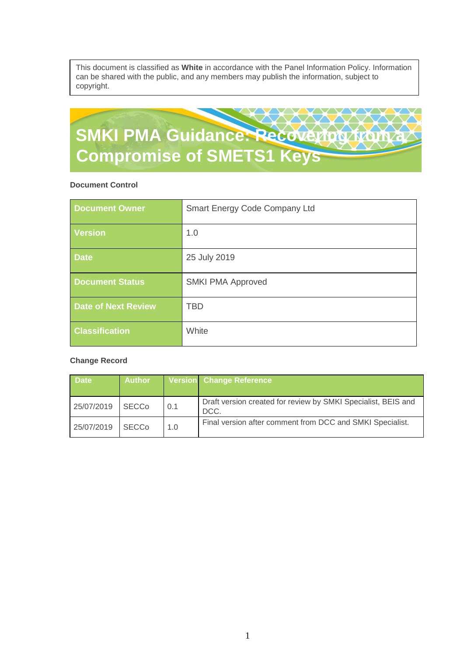This document is classified as **White** in accordance with the Panel Information Policy. Information can be shared with the public, and any members may publish the information, subject to copyright.

# **SMKI PMA Guidance: Recovering from a Compromise of SMETS1 Keys**

#### **Document Control**

| <b>Document Owner</b>      | Smart Energy Code Company Ltd |
|----------------------------|-------------------------------|
| <b>Version</b>             | 1.0                           |
| <b>Date</b>                | 25 July 2019                  |
| <b>Document Status</b>     | <b>SMKI PMA Approved</b>      |
| <b>Date of Next Review</b> | <b>TBD</b>                    |
| <b>Classification</b>      | White                         |

#### **Change Record**

| <b>Date</b> | <b>Author</b> |     | Version Change Reference                                              |
|-------------|---------------|-----|-----------------------------------------------------------------------|
| 25/07/2019  | <b>SECCo</b>  | 0.1 | Draft version created for review by SMKI Specialist, BEIS and<br>DCC. |
| 25/07/2019  | <b>SECCo</b>  | 1.0 | Final version after comment from DCC and SMKI Specialist.             |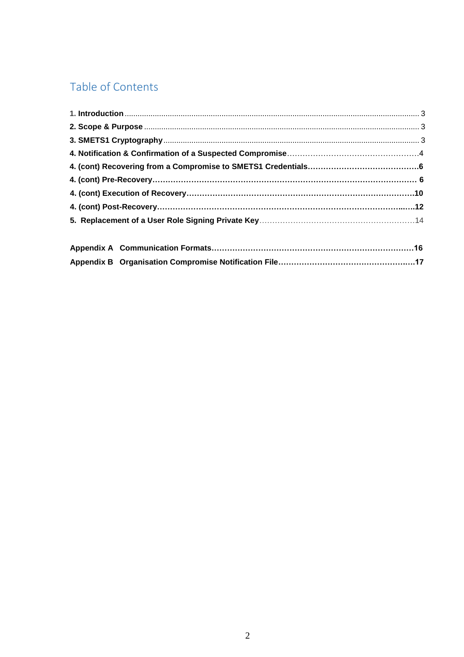# Table of Contents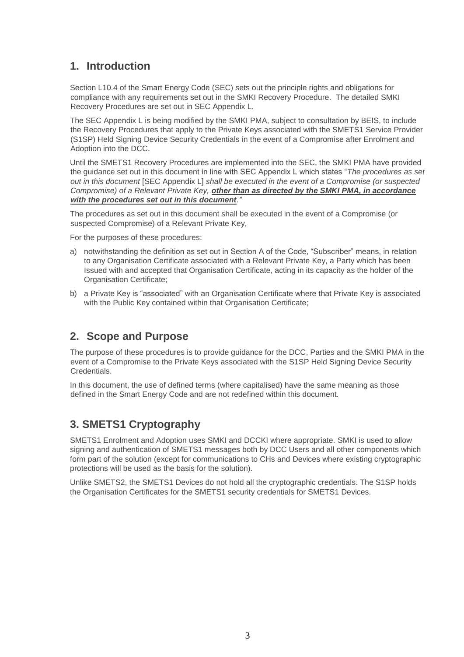# <span id="page-2-0"></span>**1. Introduction**

Section L10.4 of the Smart Energy Code (SEC) sets out the principle rights and obligations for compliance with any requirements set out in the SMKI Recovery Procedure. The detailed SMKI Recovery Procedures are set out in SEC Appendix L.

The SEC Appendix L is being modified by the SMKI PMA, subject to consultation by BEIS, to include the Recovery Procedures that apply to the Private Keys associated with the SMETS1 Service Provider (S1SP) Held Signing Device Security Credentials in the event of a Compromise after Enrolment and Adoption into the DCC.

Until the SMETS1 Recovery Procedures are implemented into the SEC, the SMKI PMA have provided the guidance set out in this document in line with SEC Appendix L which states "*The procedures as set out in this document* [SEC Appendix L] *shall be executed in the event of a Compromise (or suspected Compromise) of a Relevant Private Key, other than as directed by the SMKI PMA, in accordance with the procedures set out in this document."* 

The procedures as set out in this document shall be executed in the event of a Compromise (or suspected Compromise) of a Relevant Private Key,

For the purposes of these procedures:

- a) notwithstanding the definition as set out in Section A of the Code, "Subscriber" means, in relation to any Organisation Certificate associated with a Relevant Private Key, a Party which has been Issued with and accepted that Organisation Certificate, acting in its capacity as the holder of the Organisation Certificate;
- b) a Private Key is "associated" with an Organisation Certificate where that Private Key is associated with the Public Key contained within that Organisation Certificate;

# **2. Scope and Purpose**

The purpose of these procedures is to provide guidance for the DCC, Parties and the SMKI PMA in the event of a Compromise to the Private Keys associated with the S1SP Held Signing Device Security Credentials.

In this document, the use of defined terms (where capitalised) have the same meaning as those defined in the Smart Energy Code and are not redefined within this document.

# **3. SMETS1 Cryptography**

SMETS1 Enrolment and Adoption uses SMKI and DCCKI where appropriate. SMKI is used to allow signing and authentication of SMETS1 messages both by DCC Users and all other components which form part of the solution (except for communications to CHs and Devices where existing cryptographic protections will be used as the basis for the solution).

Unlike SMETS2, the SMETS1 Devices do not hold all the cryptographic credentials. The S1SP holds the Organisation Certificates for the SMETS1 security credentials for SMETS1 Devices.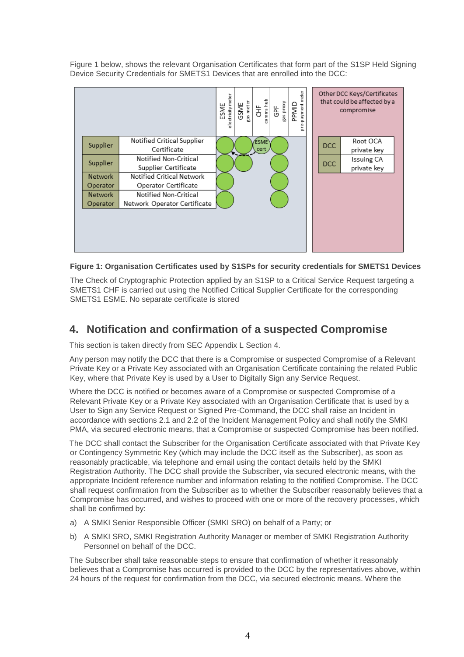Figure 1 below, shows the relevant Organisation Certificates that form part of the S1SP Held Signing Device Security Credentials for SMETS1 Devices that are enrolled into the DCC:





The Check of Cryptographic Protection applied by an S1SP to a Critical Service Request targeting a SMETS1 CHF is carried out using the Notified Critical Supplier Certificate for the corresponding SMETS1 ESME. No separate certificate is stored

# **4. Notification and confirmation of a suspected Compromise**

This section is taken directly from SEC Appendix L Section 4.

Any person may notify the DCC that there is a Compromise or suspected Compromise of a Relevant Private Key or a Private Key associated with an Organisation Certificate containing the related Public Key, where that Private Key is used by a User to Digitally Sign any Service Request.

Where the DCC is notified or becomes aware of a Compromise or suspected Compromise of a Relevant Private Key or a Private Key associated with an Organisation Certificate that is used by a User to Sign any Service Request or Signed Pre-Command, the DCC shall raise an Incident in accordance with sections 2.1 and 2.2 of the Incident Management Policy and shall notify the SMKI PMA, via secured electronic means, that a Compromise or suspected Compromise has been notified.

The DCC shall contact the Subscriber for the Organisation Certificate associated with that Private Key or Contingency Symmetric Key (which may include the DCC itself as the Subscriber), as soon as reasonably practicable, via telephone and email using the contact details held by the SMKI Registration Authority. The DCC shall provide the Subscriber, via secured electronic means, with the appropriate Incident reference number and information relating to the notified Compromise. The DCC shall request confirmation from the Subscriber as to whether the Subscriber reasonably believes that a Compromise has occurred, and wishes to proceed with one or more of the recovery processes, which shall be confirmed by:

- a) A SMKI Senior Responsible Officer (SMKI SRO) on behalf of a Party; or
- b) A SMKI SRO, SMKI Registration Authority Manager or member of SMKI Registration Authority Personnel on behalf of the DCC.

The Subscriber shall take reasonable steps to ensure that confirmation of whether it reasonably believes that a Compromise has occurred is provided to the DCC by the representatives above, within 24 hours of the request for confirmation from the DCC, via secured electronic means. Where the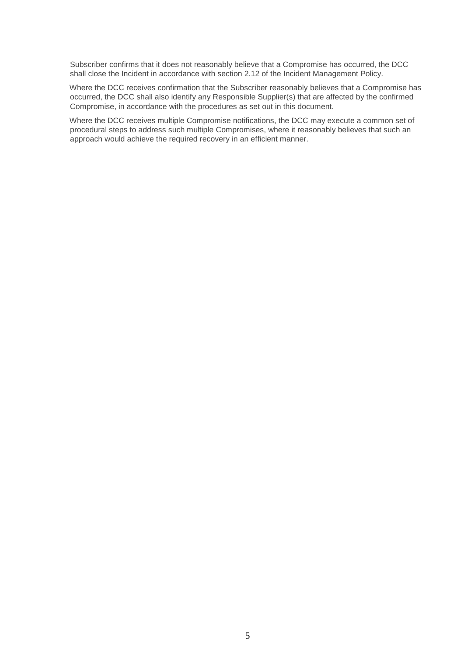Subscriber confirms that it does not reasonably believe that a Compromise has occurred, the DCC shall close the Incident in accordance with section 2.12 of the Incident Management Policy.

Where the DCC receives confirmation that the Subscriber reasonably believes that a Compromise has occurred, the DCC shall also identify any Responsible Supplier(s) that are affected by the confirmed Compromise, in accordance with the procedures as set out in this document.

Where the DCC receives multiple Compromise notifications, the DCC may execute a common set of procedural steps to address such multiple Compromises, where it reasonably believes that such an approach would achieve the required recovery in an efficient manner.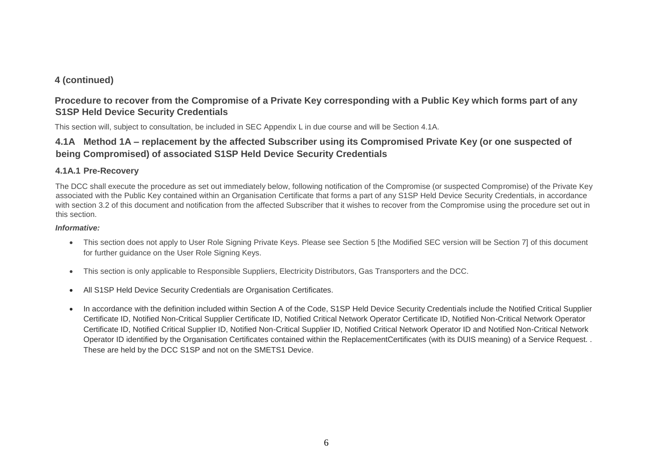## **4 (continued)**

## **Procedure to recover from the Compromise of a Private Key corresponding with a Public Key which forms part of any S1SP Held Device Security Credentials**

This section will, subject to consultation, be included in SEC Appendix L in due course and will be Section 4.1A.

# **4.1A Method 1A – replacement by the affected Subscriber using its Compromised Private Key (or one suspected of being Compromised) of associated S1SP Held Device Security Credentials**

## **4.1A.1 Pre-Recovery**

The DCC shall execute the procedure as set out immediately below, following notification of the Compromise (or suspected Compromise) of the Private Key associated with the Public Key contained within an Organisation Certificate that forms a part of any S1SP Held Device Security Credentials, in accordance with section 3.2 of this document and notification from the affected Subscriber that it wishes to recover from the Compromise using the procedure set out in this section.

#### *Informative:*

- This section does not apply to User Role Signing Private Keys. Please see Section 5 [the Modified SEC version will be Section 7] of this document for further guidance on the User Role Signing Keys.
- This section is only applicable to Responsible Suppliers, Electricity Distributors, Gas Transporters and the DCC.
- All S1SP Held Device Security Credentials are Organisation Certificates.
- In accordance with the definition included within Section A of the Code, S1SP Held Device Security Credentials include the Notified Critical Supplier Certificate ID, Notified Non-Critical Supplier Certificate ID, Notified Critical Network Operator Certificate ID, Notified Non-Critical Network Operator Certificate ID, Notified Critical Supplier ID, Notified Non-Critical Supplier ID, Notified Critical Network Operator ID and Notified Non-Critical Network Operator ID identified by the Organisation Certificates contained within the ReplacementCertificates (with its DUIS meaning) of a Service Request. . These are held by the DCC S1SP and not on the SMETS1 Device.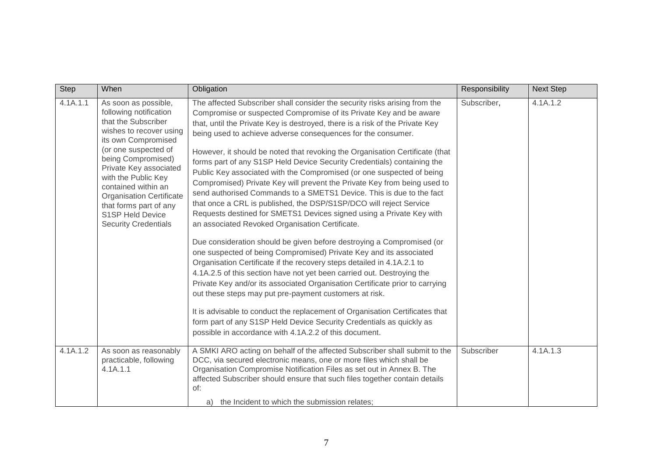| Step     | When                                                                                                                                                                                                                                                                                                                                                          | Obligation                                                                                                                                                                                                                                                                                                                                                                                                                                                                                                                                                                                                                                                                                                                                                                                                                                                                                                                                                                                                                                                                                                                                                                                                                                                                                                                                                                                                                                                                                                                                               | Responsibility | <b>Next Step</b> |
|----------|---------------------------------------------------------------------------------------------------------------------------------------------------------------------------------------------------------------------------------------------------------------------------------------------------------------------------------------------------------------|----------------------------------------------------------------------------------------------------------------------------------------------------------------------------------------------------------------------------------------------------------------------------------------------------------------------------------------------------------------------------------------------------------------------------------------------------------------------------------------------------------------------------------------------------------------------------------------------------------------------------------------------------------------------------------------------------------------------------------------------------------------------------------------------------------------------------------------------------------------------------------------------------------------------------------------------------------------------------------------------------------------------------------------------------------------------------------------------------------------------------------------------------------------------------------------------------------------------------------------------------------------------------------------------------------------------------------------------------------------------------------------------------------------------------------------------------------------------------------------------------------------------------------------------------------|----------------|------------------|
| 4.1A.1.1 | As soon as possible,<br>following notification<br>that the Subscriber<br>wishes to recover using<br>its own Compromised<br>(or one suspected of<br>being Compromised)<br>Private Key associated<br>with the Public Key<br>contained within an<br><b>Organisation Certificate</b><br>that forms part of any<br>S1SP Held Device<br><b>Security Credentials</b> | The affected Subscriber shall consider the security risks arising from the<br>Compromise or suspected Compromise of its Private Key and be aware<br>that, until the Private Key is destroyed, there is a risk of the Private Key<br>being used to achieve adverse consequences for the consumer.<br>However, it should be noted that revoking the Organisation Certificate (that<br>forms part of any S1SP Held Device Security Credentials) containing the<br>Public Key associated with the Compromised (or one suspected of being<br>Compromised) Private Key will prevent the Private Key from being used to<br>send authorised Commands to a SMETS1 Device. This is due to the fact<br>that once a CRL is published, the DSP/S1SP/DCO will reject Service<br>Requests destined for SMETS1 Devices signed using a Private Key with<br>an associated Revoked Organisation Certificate.<br>Due consideration should be given before destroying a Compromised (or<br>one suspected of being Compromised) Private Key and its associated<br>Organisation Certificate if the recovery steps detailed in 4.1A.2.1 to<br>4.1A.2.5 of this section have not yet been carried out. Destroying the<br>Private Key and/or its associated Organisation Certificate prior to carrying<br>out these steps may put pre-payment customers at risk.<br>It is advisable to conduct the replacement of Organisation Certificates that<br>form part of any S1SP Held Device Security Credentials as quickly as<br>possible in accordance with 4.1A.2.2 of this document. | Subscriber,    | 4.1A.1.2         |
| 4.1A.1.2 | As soon as reasonably<br>practicable, following<br>4.1A.1.1                                                                                                                                                                                                                                                                                                   | A SMKI ARO acting on behalf of the affected Subscriber shall submit to the<br>DCC, via secured electronic means, one or more files which shall be<br>Organisation Compromise Notification Files as set out in Annex B. The<br>affected Subscriber should ensure that such files together contain details<br>of:<br>a) the Incident to which the submission relates;                                                                                                                                                                                                                                                                                                                                                                                                                                                                                                                                                                                                                                                                                                                                                                                                                                                                                                                                                                                                                                                                                                                                                                                      | Subscriber     | 4.1A.1.3         |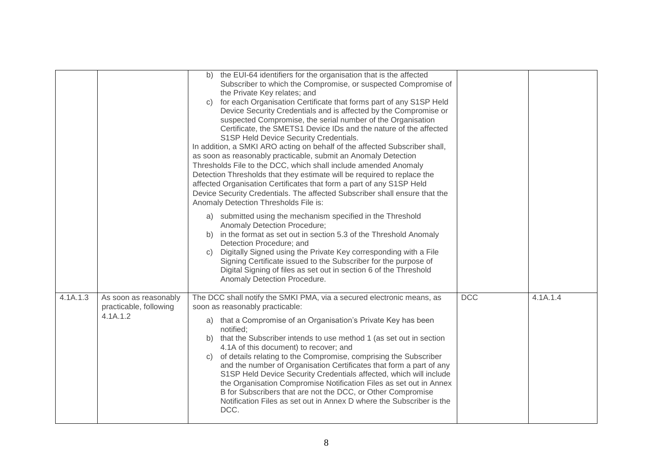|          |                                                             | the EUI-64 identifiers for the organisation that is the affected<br>b)<br>Subscriber to which the Compromise, or suspected Compromise of<br>the Private Key relates; and<br>for each Organisation Certificate that forms part of any S1SP Held<br>C)<br>Device Security Credentials and is affected by the Compromise or<br>suspected Compromise, the serial number of the Organisation<br>Certificate, the SMETS1 Device IDs and the nature of the affected<br>S1SP Held Device Security Credentials.<br>In addition, a SMKI ARO acting on behalf of the affected Subscriber shall,<br>as soon as reasonably practicable, submit an Anomaly Detection<br>Thresholds File to the DCC, which shall include amended Anomaly<br>Detection Thresholds that they estimate will be required to replace the<br>affected Organisation Certificates that form a part of any S1SP Held<br>Device Security Credentials. The affected Subscriber shall ensure that the<br>Anomaly Detection Thresholds File is: |            |          |
|----------|-------------------------------------------------------------|-----------------------------------------------------------------------------------------------------------------------------------------------------------------------------------------------------------------------------------------------------------------------------------------------------------------------------------------------------------------------------------------------------------------------------------------------------------------------------------------------------------------------------------------------------------------------------------------------------------------------------------------------------------------------------------------------------------------------------------------------------------------------------------------------------------------------------------------------------------------------------------------------------------------------------------------------------------------------------------------------------|------------|----------|
|          |                                                             | submitted using the mechanism specified in the Threshold<br>a)<br>Anomaly Detection Procedure;<br>in the format as set out in section 5.3 of the Threshold Anomaly<br>b)<br>Detection Procedure; and<br>Digitally Signed using the Private Key corresponding with a File<br>C)<br>Signing Certificate issued to the Subscriber for the purpose of<br>Digital Signing of files as set out in section 6 of the Threshold<br>Anomaly Detection Procedure.                                                                                                                                                                                                                                                                                                                                                                                                                                                                                                                                              |            |          |
| 4.1A.1.3 | As soon as reasonably<br>practicable, following<br>4.1A.1.2 | The DCC shall notify the SMKI PMA, via a secured electronic means, as<br>soon as reasonably practicable:<br>that a Compromise of an Organisation's Private Key has been<br>a)<br>notified;<br>that the Subscriber intends to use method 1 (as set out in section<br>b)<br>4.1A of this document) to recover; and<br>of details relating to the Compromise, comprising the Subscriber<br>C)<br>and the number of Organisation Certificates that form a part of any<br>S1SP Held Device Security Credentials affected, which will include<br>the Organisation Compromise Notification Files as set out in Annex<br>B for Subscribers that are not the DCC, or Other Compromise<br>Notification Files as set out in Annex D where the Subscriber is the<br>DCC.                                                                                                                                                                                                                                        | <b>DCC</b> | 4.1A.1.4 |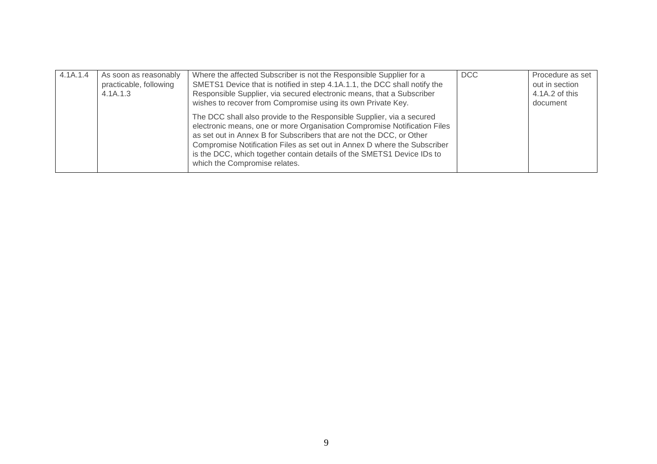| 4.1A.1.4 | As soon as reasonably<br>practicable, following<br>4.1A.1.3 | Where the affected Subscriber is not the Responsible Supplier for a<br>SMETS1 Device that is notified in step 4.1A.1.1, the DCC shall notify the<br>Responsible Supplier, via secured electronic means, that a Subscriber<br>wishes to recover from Compromise using its own Private Key.                                                                                                                        | <b>DCC</b> | Procedure as set<br>out in section<br>4.1A.2 of this<br>document |
|----------|-------------------------------------------------------------|------------------------------------------------------------------------------------------------------------------------------------------------------------------------------------------------------------------------------------------------------------------------------------------------------------------------------------------------------------------------------------------------------------------|------------|------------------------------------------------------------------|
|          |                                                             | The DCC shall also provide to the Responsible Supplier, via a secured<br>electronic means, one or more Organisation Compromise Notification Files<br>as set out in Annex B for Subscribers that are not the DCC, or Other<br>Compromise Notification Files as set out in Annex D where the Subscriber<br>is the DCC, which together contain details of the SMETS1 Device IDs to<br>which the Compromise relates. |            |                                                                  |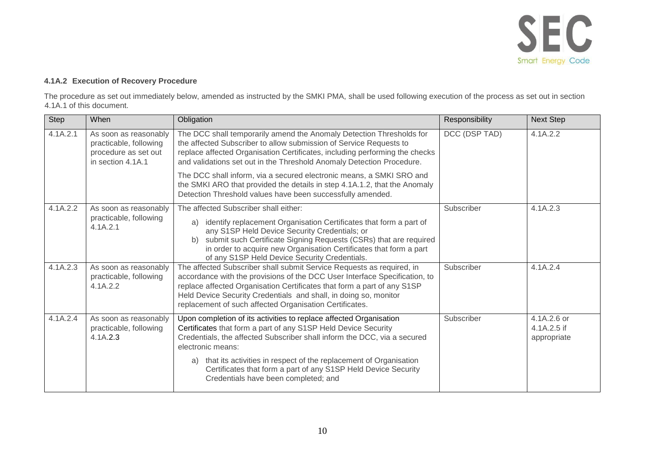

### **4.1A.2 Execution of Recovery Procedure**

The procedure as set out immediately below, amended as instructed by the SMKI PMA, shall be used following execution of the process as set out in section 4.1A.1 of this document.

| Step                               | When                                                                                                                                                                                                                                                                                                                        | Obligation                                                                                                                                                                                                                                                                                                                                                                                                                 | Responsibility | <b>Next Step</b>                          |
|------------------------------------|-----------------------------------------------------------------------------------------------------------------------------------------------------------------------------------------------------------------------------------------------------------------------------------------------------------------------------|----------------------------------------------------------------------------------------------------------------------------------------------------------------------------------------------------------------------------------------------------------------------------------------------------------------------------------------------------------------------------------------------------------------------------|----------------|-------------------------------------------|
| 4.1A.2.1                           | As soon as reasonably<br>practicable, following<br>procedure as set out<br>in section 4.1A.1                                                                                                                                                                                                                                | The DCC shall temporarily amend the Anomaly Detection Thresholds for<br>the affected Subscriber to allow submission of Service Requests to<br>replace affected Organisation Certificates, including performing the checks<br>and validations set out in the Threshold Anomaly Detection Procedure.                                                                                                                         | DCC (DSP TAD)  | 4.1A.2.2                                  |
|                                    |                                                                                                                                                                                                                                                                                                                             | The DCC shall inform, via a secured electronic means, a SMKI SRO and<br>the SMKI ARO that provided the details in step 4.1A.1.2, that the Anomaly<br>Detection Threshold values have been successfully amended.                                                                                                                                                                                                            |                |                                           |
| 4.1A.2.2                           | As soon as reasonably                                                                                                                                                                                                                                                                                                       | The affected Subscriber shall either:                                                                                                                                                                                                                                                                                                                                                                                      | Subscriber     | 4.1A.2.3                                  |
| practicable, following<br>4.1A.2.1 | identify replacement Organisation Certificates that form a part of<br>a)<br>any S1SP Held Device Security Credentials; or<br>submit such Certificate Signing Requests (CSRs) that are required<br>b)<br>in order to acquire new Organisation Certificates that form a part<br>of any S1SP Held Device Security Credentials. |                                                                                                                                                                                                                                                                                                                                                                                                                            |                |                                           |
| 4.1A.2.3                           | As soon as reasonably<br>practicable, following<br>4.1A.2.2                                                                                                                                                                                                                                                                 | The affected Subscriber shall submit Service Requests as required, in<br>accordance with the provisions of the DCC User Interface Specification, to<br>replace affected Organisation Certificates that form a part of any S1SP<br>Held Device Security Credentials and shall, in doing so, monitor<br>replacement of such affected Organisation Certificates.                                                              | Subscriber     | 4.1A.2.4                                  |
| 4.1A.2.4                           | As soon as reasonably<br>practicable, following<br>4.1A.2.3                                                                                                                                                                                                                                                                 | Upon completion of its activities to replace affected Organisation<br>Certificates that form a part of any S1SP Held Device Security<br>Credentials, the affected Subscriber shall inform the DCC, via a secured<br>electronic means:<br>that its activities in respect of the replacement of Organisation<br>a)<br>Certificates that form a part of any S1SP Held Device Security<br>Credentials have been completed; and | Subscriber     | 4.1A.2.6 or<br>4.1A.2.5 if<br>appropriate |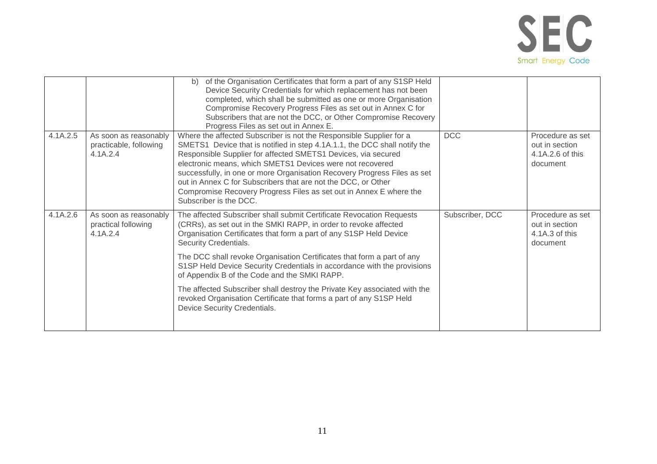

|          |                                                             | of the Organisation Certificates that form a part of any S1SP Held<br>b)<br>Device Security Credentials for which replacement has not been<br>completed, which shall be submitted as one or more Organisation<br>Compromise Recovery Progress Files as set out in Annex C for<br>Subscribers that are not the DCC, or Other Compromise Recovery<br>Progress Files as set out in Annex E.                                                                                                                                                                                                                                         |                 |                                                                    |
|----------|-------------------------------------------------------------|----------------------------------------------------------------------------------------------------------------------------------------------------------------------------------------------------------------------------------------------------------------------------------------------------------------------------------------------------------------------------------------------------------------------------------------------------------------------------------------------------------------------------------------------------------------------------------------------------------------------------------|-----------------|--------------------------------------------------------------------|
| 4.1A.2.5 | As soon as reasonably<br>practicable, following<br>4.1A.2.4 | Where the affected Subscriber is not the Responsible Supplier for a<br>SMETS1 Device that is notified in step 4.1A.1.1, the DCC shall notify the<br>Responsible Supplier for affected SMETS1 Devices, via secured<br>electronic means, which SMETS1 Devices were not recovered<br>successfully, in one or more Organisation Recovery Progress Files as set<br>out in Annex C for Subscribers that are not the DCC, or Other<br>Compromise Recovery Progress Files as set out in Annex E where the<br>Subscriber is the DCC.                                                                                                      | <b>DCC</b>      | Procedure as set<br>out in section<br>4.1A.2.6 of this<br>document |
| 4.1A.2.6 | As soon as reasonably<br>practical following<br>4.1A.2.4    | The affected Subscriber shall submit Certificate Revocation Requests<br>(CRRs), as set out in the SMKI RAPP, in order to revoke affected<br>Organisation Certificates that form a part of any S1SP Held Device<br>Security Credentials.<br>The DCC shall revoke Organisation Certificates that form a part of any<br>S1SP Held Device Security Credentials in accordance with the provisions<br>of Appendix B of the Code and the SMKI RAPP.<br>The affected Subscriber shall destroy the Private Key associated with the<br>revoked Organisation Certificate that forms a part of any S1SP Held<br>Device Security Credentials. | Subscriber, DCC | Procedure as set<br>out in section<br>4.1A.3 of this<br>document   |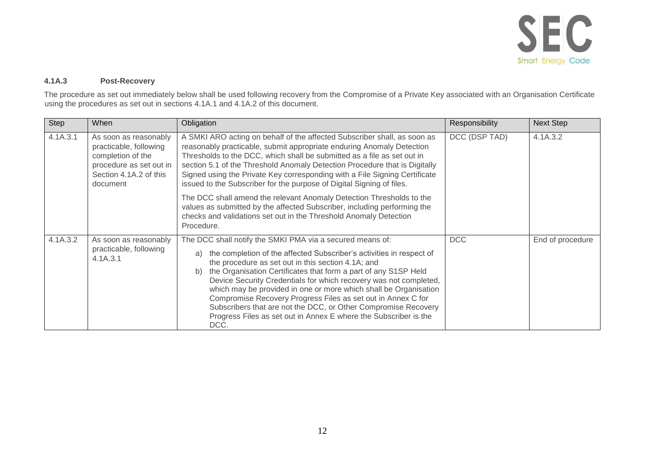

#### **4.1A.3 Post-Recovery**

The procedure as set out immediately below shall be used following recovery from the Compromise of a Private Key associated with an Organisation Certificate using the procedures as set out in sections 4.1A.1 and 4.1A.2 of this document.

| <b>Step</b>                                                                                                                                       | When                                                        | Obligation                                                                                                                                                                                                                                                                                                                                                                                                                                                                                                                                                                                                                    | Responsibility | <b>Next Step</b> |
|---------------------------------------------------------------------------------------------------------------------------------------------------|-------------------------------------------------------------|-------------------------------------------------------------------------------------------------------------------------------------------------------------------------------------------------------------------------------------------------------------------------------------------------------------------------------------------------------------------------------------------------------------------------------------------------------------------------------------------------------------------------------------------------------------------------------------------------------------------------------|----------------|------------------|
| 4.1A.3.1<br>As soon as reasonably<br>practicable, following<br>completion of the<br>procedure as set out in<br>Section 4.1A.2 of this<br>document |                                                             | A SMKI ARO acting on behalf of the affected Subscriber shall, as soon as<br>reasonably practicable, submit appropriate enduring Anomaly Detection<br>Thresholds to the DCC, which shall be submitted as a file as set out in<br>section 5.1 of the Threshold Anomaly Detection Procedure that is Digitally<br>Signed using the Private Key corresponding with a File Signing Certificate<br>issued to the Subscriber for the purpose of Digital Signing of files.                                                                                                                                                             | DCC (DSP TAD)  | 4.1A.3.2         |
|                                                                                                                                                   |                                                             | The DCC shall amend the relevant Anomaly Detection Thresholds to the<br>values as submitted by the affected Subscriber, including performing the<br>checks and validations set out in the Threshold Anomaly Detection<br>Procedure.                                                                                                                                                                                                                                                                                                                                                                                           |                |                  |
| 4.1A.3.2                                                                                                                                          | As soon as reasonably<br>practicable, following<br>4.1A.3.1 | The DCC shall notify the SMKI PMA via a secured means of:<br>the completion of the affected Subscriber's activities in respect of<br>a)<br>the procedure as set out in this section 4.1A; and<br>the Organisation Certificates that form a part of any S1SP Held<br>b)<br>Device Security Credentials for which recovery was not completed,<br>which may be provided in one or more which shall be Organisation<br>Compromise Recovery Progress Files as set out in Annex C for<br>Subscribers that are not the DCC, or Other Compromise Recovery<br>Progress Files as set out in Annex E where the Subscriber is the<br>DCC. | <b>DCC</b>     | End of procedure |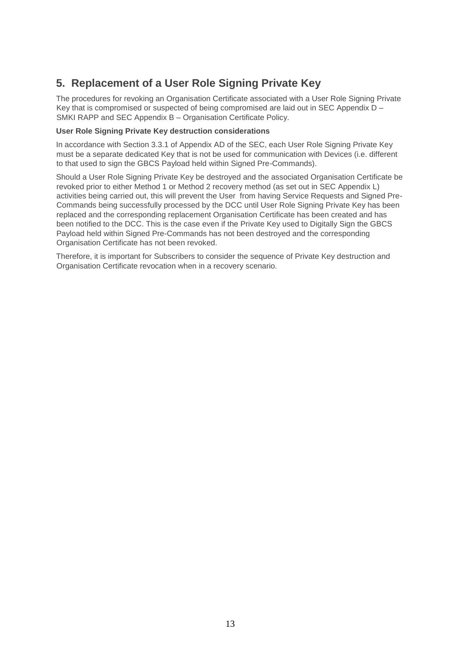# **5. Replacement of a User Role Signing Private Key**

The procedures for revoking an Organisation Certificate associated with a User Role Signing Private Key that is compromised or suspected of being compromised are laid out in SEC Appendix D – SMKI RAPP and SEC Appendix B – Organisation Certificate Policy.

#### **User Role Signing Private Key destruction considerations**

In accordance with Section 3.3.1 of Appendix AD of the SEC, each User Role Signing Private Key must be a separate dedicated Key that is not be used for communication with Devices (i.e. different to that used to sign the GBCS Payload held within Signed Pre-Commands).

Should a User Role Signing Private Key be destroyed and the associated Organisation Certificate be revoked prior to either Method 1 or Method 2 recovery method (as set out in SEC Appendix L) activities being carried out, this will prevent the User from having Service Requests and Signed Pre-Commands being successfully processed by the DCC until User Role Signing Private Key has been replaced and the corresponding replacement Organisation Certificate has been created and has been notified to the DCC. This is the case even if the Private Key used to Digitally Sign the GBCS Payload held within Signed Pre-Commands has not been destroyed and the corresponding Organisation Certificate has not been revoked.

Therefore, it is important for Subscribers to consider the sequence of Private Key destruction and Organisation Certificate revocation when in a recovery scenario.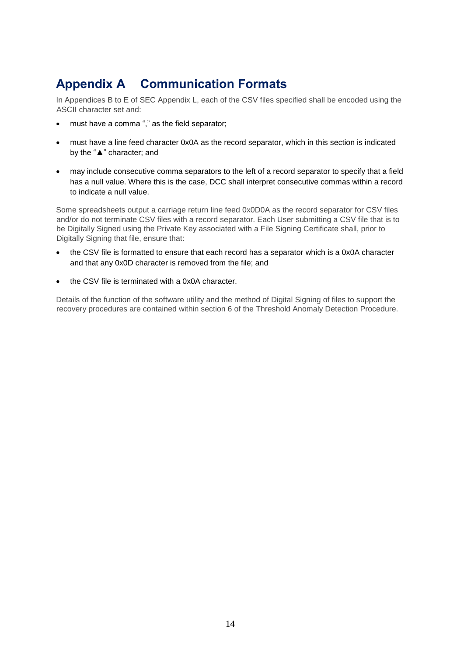# **Appendix A Communication Formats**

In Appendices B to E of SEC Appendix L, each of the CSV files specified shall be encoded using the ASCII character set and:

- must have a comma "," as the field separator;
- must have a line feed character 0x0A as the record separator, which in this section is indicated by the "▲" character; and
- may include consecutive comma separators to the left of a record separator to specify that a field has a null value. Where this is the case, DCC shall interpret consecutive commas within a record to indicate a null value.

Some spreadsheets output a carriage return line feed 0x0D0A as the record separator for CSV files and/or do not terminate CSV files with a record separator. Each User submitting a CSV file that is to be Digitally Signed using the Private Key associated with a File Signing Certificate shall, prior to Digitally Signing that file, ensure that:

- the CSV file is formatted to ensure that each record has a separator which is a 0x0A character and that any 0x0D character is removed from the file; and
- the CSV file is terminated with a 0x0A character.

Details of the function of the software utility and the method of Digital Signing of files to support the recovery procedures are contained within section 6 of the Threshold Anomaly Detection Procedure.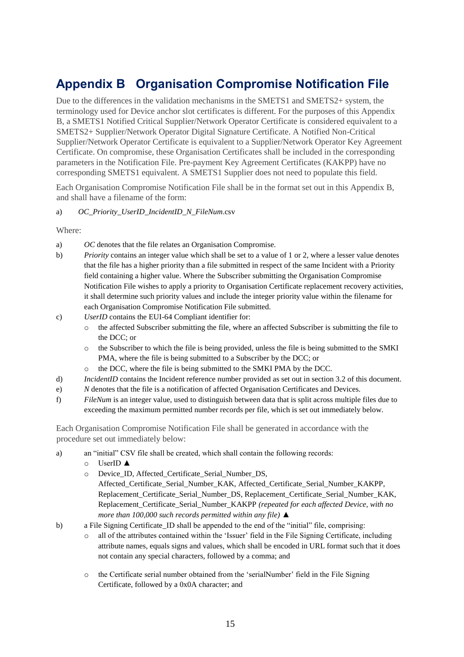# **Appendix B Organisation Compromise Notification File**

Due to the differences in the validation mechanisms in the SMETS1 and SMETS2+ system, the terminology used for Device anchor slot certificates is different. For the purposes of this Appendix B, a SMETS1 Notified Critical Supplier/Network Operator Certificate is considered equivalent to a SMETS2+ Supplier/Network Operator Digital Signature Certificate. A Notified Non-Critical Supplier/Network Operator Certificate is equivalent to a Supplier/Network Operator Key Agreement Certificate. On compromise, these Organisation Certificates shall be included in the corresponding parameters in the Notification File. Pre-payment Key Agreement Certificates (KAKPP) have no corresponding SMETS1 equivalent. A SMETS1 Supplier does not need to populate this field.

Each Organisation Compromise Notification File shall be in the format set out in this Appendix B, and shall have a filename of the form:

#### a) *OC\_Priority*\_*UserID*\_*IncidentID\_N\_FileNum*.csv

Where:

- a) *OC* denotes that the file relates an Organisation Compromise.
- b) *Priority* contains an integer value which shall be set to a value of 1 or 2, where a lesser value denotes that the file has a higher priority than a file submitted in respect of the same Incident with a Priority field containing a higher value. Where the Subscriber submitting the Organisation Compromise Notification File wishes to apply a priority to Organisation Certificate replacement recovery activities, it shall determine such priority values and include the integer priority value within the filename for each Organisation Compromise Notification File submitted.
- c) *UserID* contains the EUI-64 Compliant identifier for:
	- o the affected Subscriber submitting the file, where an affected Subscriber is submitting the file to the DCC; or
	- $\circ$  the Subscriber to which the file is being provided, unless the file is being submitted to the SMKI PMA, where the file is being submitted to a Subscriber by the DCC; or
	- o the DCC, where the file is being submitted to the SMKI PMA by the DCC.
- d) *IncidentID* contains the Incident reference number provided as set out in section 3.2 of this document.
- e) *N* denotes that the file is a notification of affected Organisation Certificates and Devices.
- f) *FileNum* is an integer value, used to distinguish between data that is split across multiple files due to exceeding the maximum permitted number records per file, which is set out immediately below.

Each Organisation Compromise Notification File shall be generated in accordance with the procedure set out immediately below:

- a) an "initial" CSV file shall be created, which shall contain the following records:
	- o UserID ▲
	- o Device\_ID, Affected\_Certificate\_Serial\_Number\_DS, Affected\_Certificate\_Serial\_Number\_KAK, Affected\_Certificate\_Serial\_Number\_KAKPP, Replacement\_Certificate\_Serial\_Number\_DS, Replacement\_Certificate\_Serial\_Number\_KAK, Replacement\_Certificate\_Serial\_Number\_KAKPP *(repeated for each affected Device, with no more than 100,000 such records permitted within any file)* ▲
- b) a File Signing Certificate\_ID shall be appended to the end of the "initial" file, comprising:
	- o all of the attributes contained within the 'Issuer' field in the File Signing Certificate, including attribute names, equals signs and values, which shall be encoded in URL format such that it does not contain any special characters, followed by a comma; and
	- o the Certificate serial number obtained from the 'serialNumber' field in the File Signing Certificate, followed by a 0x0A character; and